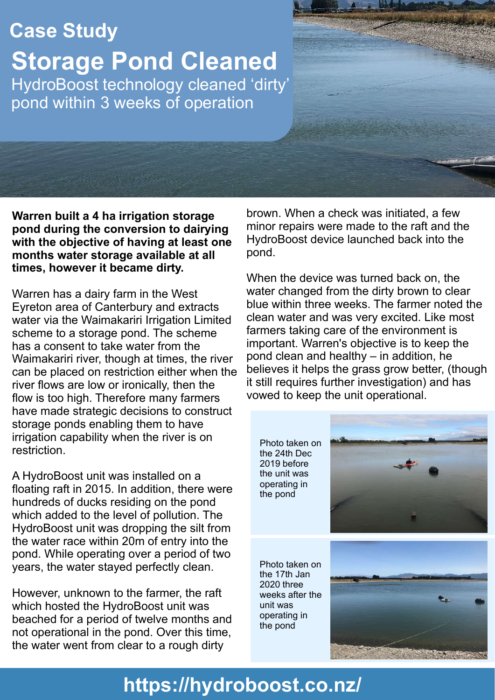# **Case Study**

**Storage Pond Cleaned** HydroBoost technology cleaned 'dirty' pond within 3 weeks of operation

**Warren built a 4 ha irrigation storage pond during the conversion to dairying with the objective of having at least one months water storage available at all times, however it became dirty.**

Warren has a dairy farm in the West Eyreton area of Canterbury and extracts water via the Waimakariri Irrigation Limited scheme to a storage pond. The scheme has a consent to take water from the Waimakariri river, though at times, the river can be placed on restriction either when the river flows are low or ironically, then the flow is too high. Therefore many farmers have made strategic decisions to construct storage ponds enabling them to have irrigation capability when the river is on restriction.

A HydroBoost unit was installed on a floating raft in 2015. In addition, there were hundreds of ducks residing on the pond which added to the level of pollution. The HydroBoost unit was dropping the silt from the water race within 20m of entry into the pond. While operating over a period of two years, the water stayed perfectly clean.

However, unknown to the farmer, the raft which hosted the HydroBoost unit was beached for a period of twelve months and not operational in the pond. Over this time, the water went from clear to a rough dirty

brown. When a check was initiated, a few minor repairs were made to the raft and the HydroBoost device launched back into the pond.

When the device was turned back on, the water changed from the dirty brown to clear blue within three weeks. The farmer noted the clean water and was very excited. Like most farmers taking care of the environment is important. Warren's objective is to keep the pond clean and healthy – in addition, he believes it helps the grass grow better, (though it still requires further investigation) and has vowed to keep the unit operational.

Photo taken on the 24th Dec 2019 before the unit was operating in the pond



Photo taken on the 17th Jan 2020 three weeks after the unit was operating in the pond



# **https://hydroboost.co.nz/**